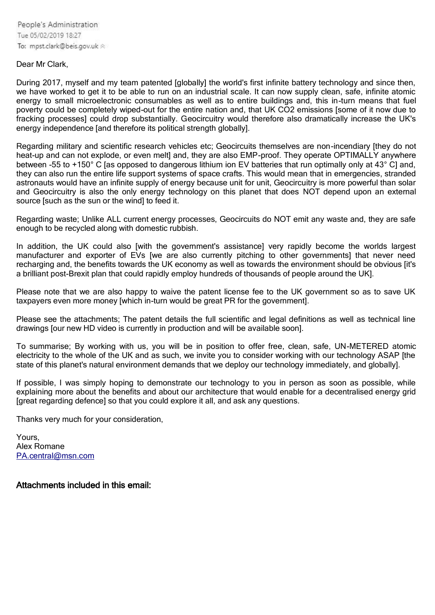People's Administration Tue 05/02/2019 18:27 To: mpst.clark@beis.gov.uk <

### Dear Mr Clark,

During 2017, myself and my team patented [globally] the world's first infinite battery technology and since then, we have worked to get it to be able to run on an industrial scale. It can now supply clean, safe, infinite atomic energy to small microelectronic consumables as well as to entire buildings and, this in-turn means that fuel poverty could be completely wiped-out for the entire nation and, that UK CO2 emissions [some of it now due to fracking processes] could drop substantially. Geocircuitry would therefore also dramatically increase the UK's energy independence [and therefore its political strength globally].

Regarding military and scientific research vehicles etc; Geocircuits themselves are non-incendiary [they do not heat-up and can not explode, or even melt] and, they are also EMP-proof. They operate OPTIMALLY anywhere between -55 to +150° C [as opposed to dangerous lithium ion EV batteries that run optimally only at 43° C] and, they can also run the entire life support systems of space crafts. This would mean that in emergencies, stranded astronauts would have an infinite supply of energy because unit for unit, Geocircuitry is more powerful than solar and Geocircuitry is also the only energy technology on this planet that does NOT depend upon an external source [such as the sun or the wind] to feed it.

Regarding waste; Unlike ALL current energy processes, Geocircuits do NOT emit any waste and, they are safe enough to be recycled along with domestic rubbish.

In addition, the UK could also [with the government's assistance] very rapidly become the worlds largest manufacturer and exporter of EVs [we are also currently pitching to other governments] that never need recharging and, the benefits towards the UK economy as well as towards the environment should be obvious [it's a brilliant post-Brexit plan that could rapidly employ hundreds of thousands of people around the UK].

Please note that we are also happy to waive the patent license fee to the UK government so as to save UK taxpayers even more money [which in-turn would be great PR for the government].

Please see the attachments; The patent details the full scientific and legal definitions as well as technical line drawings [our new HD video is currently in production and will be available soon].

To summarise; By working with us, you will be in position to offer free, clean, safe, UN-METERED atomic electricity to the whole of the UK and as such, we invite you to consider working with our technology ASAP [the state of this planet's natural environment demands that we deploy our technology immediately, and globally].

If possible, I was simply hoping to demonstrate our technology to you in person as soon as possible, while explaining more about the benefits and about our architecture that would enable for a decentralised energy grid [great regarding defence] so that you could explore it all, and ask any questions.

Thanks very much for your consideration,

Yours, Alex Romane [PA.central@msn.com](mailto:PA.central@msn.com)

Attachments included in this email: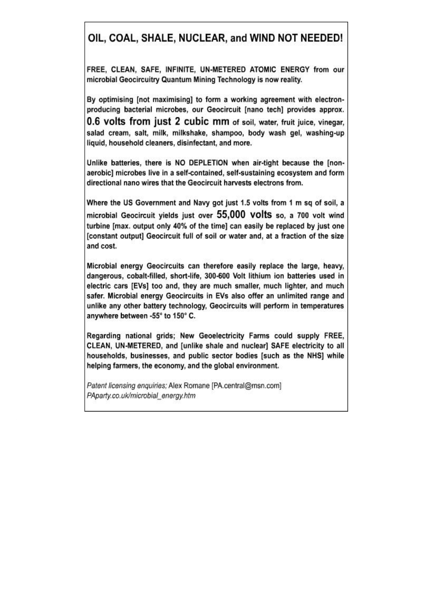## OIL, COAL, SHALE, NUCLEAR, and WIND NOT NEEDED!

FREE, CLEAN, SAFE, INFINITE, UN-METERED ATOMIC ENERGY from our microbial Geocircuitry Quantum Mining Technology is now reality.

By optimising [not maximising] to form a working agreement with electronproducing bacterial microbes, our Geocircuit [nano tech] provides approx.

0.6 volts from just 2 cubic mm of soil, water, fruit juice, vinegar, salad cream, salt, milk, milkshake, shampoo, body wash gel, washing-up liquid, household cleaners, disinfectant, and more.

Unlike batteries, there is NO DEPLETION when air-tight because the [nonaerobic] microbes live in a self-contained, self-sustaining ecosystem and form directional nano wires that the Geocircuit harvests electrons from.

Where the US Government and Navy got just 1.5 volts from 1 m sq of soil, a microbial Geocircuit yields just over 55,000 volts so. a 700 volt wind turbine [max. output only 40% of the time] can easily be replaced by just one [constant output] Geocircuit full of soil or water and, at a fraction of the size and cost.

Microbial energy Geocircuits can therefore easily replace the large, heavy, dangerous, cobalt-filled, short-life, 300-600 Volt lithium ion batteries used in electric cars [EVs] too and, they are much smaller, much lighter, and much safer. Microbial energy Geocircuits in EVs also offer an unlimited range and unlike any other battery technology, Geocircuits will perform in temperatures anywhere between -55° to 150° C.

Regarding national grids: New Geoelectricity Farms could supply FREE. CLEAN, UN-METERED, and [unlike shale and nuclear] SAFE electricity to all households, businesses, and public sector bodies [such as the NHS] while helping farmers, the economy, and the global environment.

Patent licensing enquiries; Alex Romane [PA.central@msn.com] PAparty.co.uk/microbial energy.htm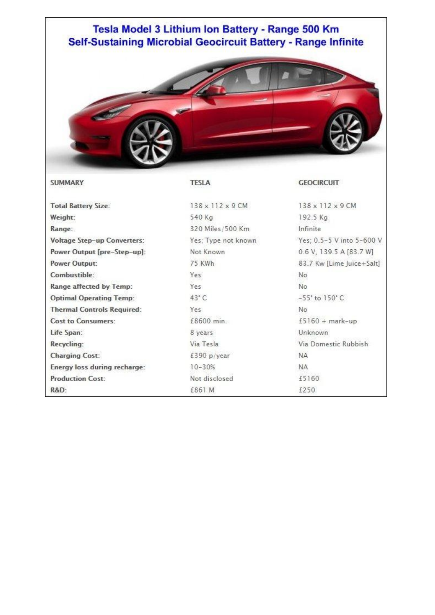### Tesla Model 3 Lithium Ion Battery - Range 500 Km Self-Sustaining Microbial Geocircuit Battery - Range Infinite



138 x 112 x 9 CM

#### **SUMMARY**

#### **TESLA**

**Total Battery Size:** Weight: Range: Voltage Step-up Converters: Power Output [pre-Step-up]: **Power Output:** Combustible: Range affected by Temp: **Optimal Operating Temp: Thermal Controls Required: Cost to Consumers:** Life Span: Recycling: **Charging Cost:** Energy loss during recharge: **Production Cost:** R&D:

540 Kg 320 Miles/500 Km Yes; Type not known Not Known 75 KWh Yes Yes 43°C Yes £8600 min. 8 years Via Tesla £390 p/year  $10 - 30%$ Not disclosed £861 M

**GEOCIRCUIT** 

138 x 112 x 9 CM 192.5 Kg Infinite Yes; 0.5-5 V into 5-600 V 0.6 V, 139.5 A [83.7 W] 83.7 Kw [Lime Juice+Salt] No No  $-55^\circ$  to  $150^\circ$  C No  $£5160 + mark-up$ Unknown Via Domestic Rubbish **NA NA** £5160 £250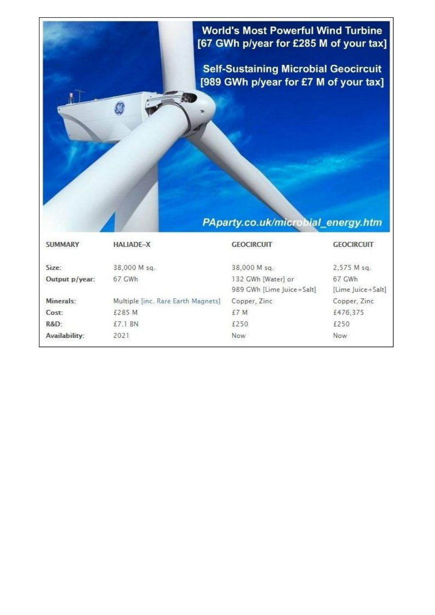## **World's Most Powerful Wind Turbine** [67 GWh p/year for £285 M of your tax]

**Self-Sustaining Microbial Geocircuit** [989 GWh p/year for £7 M of your tax]

# PAparty.co.uk/microbial\_energy.htm

| <b>SUMMARY</b> | <b>HALIADE-X</b>                   | <b>GEOCIRCUIT</b>         | <b>GEOCIRCUIT</b> |
|----------------|------------------------------------|---------------------------|-------------------|
| Size:          | 38,000 M sq.                       | 38,000 M sq.              | 2,575 M sq.       |
| Output p/year: | 67 GWh                             | 132 GWh [Water] or        | 67 GWh            |
|                |                                    | 989 GWh [Lime Juice+Salt] | [Lime Juice+Salt] |
| Minerals:      | Multiple [inc. Rare Earth Magnets] | Copper, Zinc              | Copper, Zinc.     |
| Cost:          | £285 M                             | £7 M                      | £476,375          |
| R&D:           | £7.1 BN                            | £250                      | £250              |
| Availability:  | 2021                               | Now.                      | Now<br>164911920  |

T.

Ŵ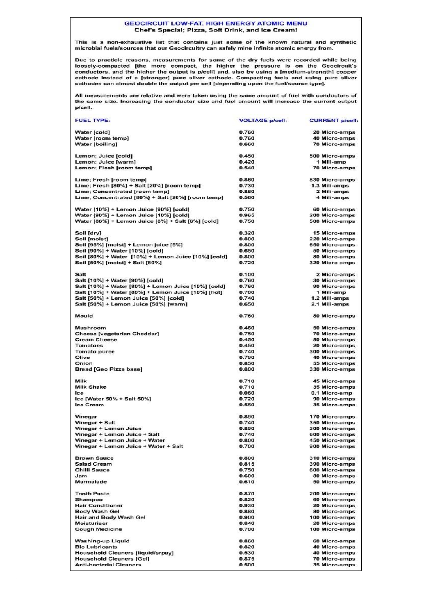#### **GEOCIRCUIT LOW-FAT, HIGH ENERGY ATOMIC MENU** Chef's Special; Pizza, Soft Drink, and Ice Cream!

This is a non-exhaustive list that contains just some of the known natural and synthetic<br>microbial fuels/sources that our Geocircuitry can safely mine infinite atomic energy from.

Due to practicle reasons, measurements for some of the dry fuels were recorded while being loosely-compacted [the more compact, the higher the pressure is on the Geocircuit's conductors, and the higher the output is p/cell cathode instead of a [stronger] pure silver cathode. Compacting fuels and using pure silver cathodes can almost double the output per cell [depending upon the fuel/source type].

All measurements are relative and were taken using the same amount of fuel with conductors of<br>the same size. Increasing the conductor size and fuel amount will increase the current output p/cell.

| <b>FUEL TYPE:</b>                                                           | <b>VOLTAGE p/cell:</b> | <b>CURRENT p/cell:</b>          |
|-----------------------------------------------------------------------------|------------------------|---------------------------------|
| Water [cold]                                                                | 0.760                  | 20 Micro-amps                   |
| Water [room temp]                                                           | 0.760                  | 40 Micro-amps                   |
| <b>Water [boiling]</b>                                                      | 0.660                  | <b>70 Micro-amps</b>            |
| Lemon; Juice [cold]                                                         | 0.450                  | 500 Micro-amps                  |
| Lemon; Juice [warm]                                                         | 0.420                  | 1 Mili-amp                      |
| Lemon; Flesh [room temp]                                                    | 0.540                  | 70 Micro-amps                   |
| Lime; Fresh [room temp]                                                     | 0.860                  | 830 Micro-amps                  |
| Lime; Fresh [80%} + Salt [20%] [room temp]                                  | 0.730                  | 1.3 Mili-amps                   |
| Lime; Concentrated [room temp]                                              | 0.860                  | 2 Mili-amps                     |
| Lime; Concentrated [80%} + Salt [20%] [room temp]                           | 0.560                  | 4 Mili-amps                     |
| Water [10%] + Lemon Juice [90%] [cold]                                      | 0.750                  | 60 Micro-amps                   |
| Water [90%] + Lemon Juice [10%] [cold]                                      | 0.965                  | 200 Micro-amps                  |
| Water [86%] + Lemon Juice [8%] + Salt [8%] [cold]                           | 0.750                  | 500 Micro-amps                  |
| Soil [dry]                                                                  | 0.320                  | 15 Micro-amps                   |
| Soil [moist]                                                                | 0.800                  | 220 Micro-amps                  |
| Soil [95%] [moist] + Lemon juice [5%]                                       | 0.800                  | 650 Micro-amps                  |
| Soil [90%] + Water [10%] [cold]                                             | 0.650                  | 50 Micro-amps                   |
| Soil [80%] + Water [10%] + Lemon Juice [10%] [cold]                         | 0.800                  | 80 Micro-amps                   |
| Soil [50%] [moist] + Salt [50%]                                             | 0.720                  | 320 Micro-amps                  |
| Salt                                                                        | 0.100                  | 2 Micro-amps                    |
| Salt [10%] + Water [90%] [cold]                                             | 0.760                  | 30 Micro-amps                   |
| Salt [10%] + Water [80%] + Lemon Juice [10%] [cold]                         | 0.760                  | 90 Micro-amps                   |
| Salt [10%] + Water [80%] + Lemon Juice [10%] [hot]                          | 0.700                  | 1 Mili-amp                      |
| Salt [50%] + Lemon Juice [50%] [cold]                                       | 0.740                  | 1.2 Mili-amps                   |
| Salt [50%] + Lemon Juice [50%] [warm]                                       | 0.650                  | 2.1 Mili-amps                   |
| Mould                                                                       | 0.760                  | 80 Micro-amps                   |
| Mushroom                                                                    | 0.460                  | 50 Micro-amps                   |
| <b>Cheese [vegetarian Cheddar]</b>                                          | 0.750                  | <b>70 Micro-amps</b>            |
| <b>Cream Cheese</b>                                                         | 0.450                  | 80 Micro-amps                   |
| Tomatoes                                                                    | 0.450                  | 20 Micro-amps                   |
| <b>Tomato puree</b>                                                         | 0.740                  | 300 Micro-amps                  |
| Olive                                                                       | 0.790                  | 40 Micro-amps                   |
| Onion<br><b>Bread [Geo Pizza base]</b>                                      | 0.850<br>0.800         | 55 Micro-amps<br>330 Micro-amps |
|                                                                             |                        |                                 |
| Milk<br><b>Milk Shake</b>                                                   | 0.710<br>0.710         | 45 Micro-amps                   |
| Ice                                                                         | 0.060                  | 35 Micro-amps<br>0.1 Micro-amp  |
| Ice [Water 50% + Salt 50%]                                                  | 0.720                  | 90 Micro-amps                   |
| Ice Cream                                                                   | 0.550                  | 35 Micro-amps                   |
| Vinegar                                                                     | 0.890                  | 170 Micro-amps                  |
| Vinegar + Salt                                                              | 0.740                  | 350 Micro-amps                  |
| Vinegar + Lemon Juice                                                       | 0.890                  | 300 Micro-amps                  |
| Vinegar + Lemon Juice + Salt                                                | 0.740                  | 600 Micro-amps                  |
| Vinegar + Lemon Juice + Water                                               | 0.800                  | 450 Micro-amps                  |
| Vinegar + Lemon Juice + Water + Salt                                        | 0.700                  | 900 Micro-amps                  |
| <b>Brown Sauce</b>                                                          | 0.800                  | 310 Micro-amps                  |
| <b>Salad Cream</b>                                                          | 0.815                  | 390 Micro-amps                  |
| <b>Chilli Sauce</b>                                                         | 0.750                  | 600 Micro-amps                  |
| Jam                                                                         | 0.600                  | 80 Micro-amps                   |
| Marmalade                                                                   | 0.610                  | 50 Micro-amps                   |
| <b>Tooth Paste</b>                                                          | 0.870                  | 200 Micro-amps                  |
| Shampoo                                                                     | 0.820                  | 60 Micro-amps                   |
| <b>Hair Conditioner</b>                                                     | 0.930                  | 20 Micro-amps                   |
| <b>Body Wash Gel</b>                                                        | 0.880                  | 80 Micro-amps                   |
| Hair and Body Wash Gel<br><b>Moisturiser</b>                                | 0.900                  | 100 Micro-amps                  |
| <b>Cough Medicine</b>                                                       | 0.840<br>0.700         | 20 Micro-amps<br>100 Micro-amps |
|                                                                             |                        |                                 |
| <b>Washing-up Liquid</b>                                                    | 0.860                  | 60 Micro-amps                   |
| <b>Bio Lubricants</b>                                                       | 0.820                  | 40 Micro-amps                   |
| <b>Household Cleaners [liquid/srpay]</b><br><b>Household Cleaners [Gel]</b> | 0.530<br>0.875         | 40 Micro-amps<br>70 Micro-amps  |
| <b>Anti-bacterial Cleaners</b>                                              | 0.500                  | 35 Micro-amps                   |
|                                                                             |                        |                                 |